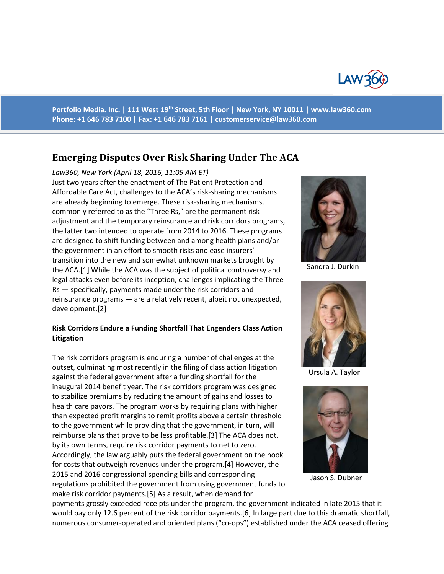

**Portfolio Media. Inc. | 111 West 19th Street, 5th Floor | New York, NY 10011 | www.law360.com Phone: +1 646 783 7100 | Fax: +1 646 783 7161 | [customerservice@law360.com](mailto:customerservice@law360.com)**

# **Emerging Disputes Over Risk Sharing Under The ACA**

*Law360, New York (April 18, 2016, 11:05 AM ET) --* Just two years after the enactment of The Patient Protection and Affordable Care Act, challenges to the ACA's risk-sharing mechanisms are already beginning to emerge. These risk-sharing mechanisms, commonly referred to as the "Three Rs," are the permanent risk adjustment and the temporary reinsurance and risk corridors programs, the latter two intended to operate from 2014 to 2016. These programs are designed to shift funding between and among health plans and/or the government in an effort to smooth risks and ease insurers' transition into the new and somewhat unknown markets brought by the ACA.[1] While the ACA was the subject of political controversy and legal attacks even before its inception, challenges implicating the Three Rs — specifically, payments made under the risk corridors and reinsurance programs — are a relatively recent, albeit not unexpected, development.[2]

### **Risk Corridors Endure a Funding Shortfall That Engenders Class Action Litigation**

The risk corridors program is enduring a number of challenges at the outset, culminating most recently in the filing of class action litigation against the federal government after a funding shortfall for the inaugural 2014 benefit year. The risk corridors program was designed to stabilize premiums by reducing the amount of gains and losses to health care payors. The program works by requiring plans with higher than expected profit margins to remit profits above a certain threshold to the government while providing that the government, in turn, will reimburse plans that prove to be less profitable.[3] The ACA does not, by its own terms, require risk corridor payments to net to zero. Accordingly, the law arguably puts the federal government on the hook for costs that outweigh revenues under the program.[4] However, the 2015 and 2016 congressional spending bills and corresponding regulations prohibited the government from using government funds to make risk corridor payments.[5] As a result, when demand for



Sandra J. Durkin



Ursula A. Taylor



Jason S. Dubner

payments grossly exceeded receipts under the program, the government indicated in late 2015 that it would pay only 12.6 percent of the risk corridor payments.[6] In large part due to this dramatic shortfall, numerous consumer-operated and oriented plans ("co-ops") established under the ACA ceased offering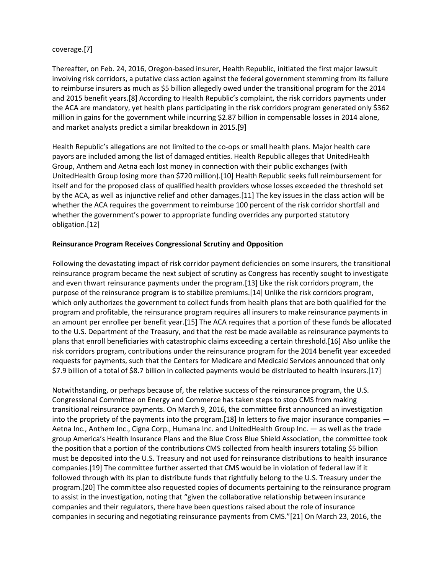### coverage.[7]

Thereafter, on Feb. 24, 2016, Oregon-based insurer, Health Republic, initiated the first major lawsuit involving risk corridors, a putative class action against the federal government stemming from its failure to reimburse insurers as much as \$5 billion allegedly owed under the transitional program for the 2014 and 2015 benefit years.[8] According to Health Republic's complaint, the risk corridors payments under the ACA are mandatory, yet health plans participating in the risk corridors program generated only \$362 million in gains for the government while incurring \$2.87 billion in compensable losses in 2014 alone, and market analysts predict a similar breakdown in 2015.[9]

Health Republic's allegations are not limited to the co-ops or small health plans. Major health care payors are included among the list of damaged entities. Health Republic alleges that UnitedHealth Group, Anthem and Aetna each lost money in connection with their public exchanges (with UnitedHealth Group losing more than \$720 million).[10] Health Republic seeks full reimbursement for itself and for the proposed class of qualified health providers whose losses exceeded the threshold set by the ACA, as well as injunctive relief and other damages.[11] The key issues in the class action will be whether the ACA requires the government to reimburse 100 percent of the risk corridor shortfall and whether the government's power to appropriate funding overrides any purported statutory obligation.[12]

### **Reinsurance Program Receives Congressional Scrutiny and Opposition**

Following the devastating impact of risk corridor payment deficiencies on some insurers, the transitional reinsurance program became the next subject of scrutiny as Congress has recently sought to investigate and even thwart reinsurance payments under the program.[13] Like the risk corridors program, the purpose of the reinsurance program is to stabilize premiums.[14] Unlike the risk corridors program, which only authorizes the government to collect funds from health plans that are both qualified for the program and profitable, the reinsurance program requires all insurers to make reinsurance payments in an amount per enrollee per benefit year.[15] The ACA requires that a portion of these funds be allocated to the U.S. Department of the Treasury, and that the rest be made available as reinsurance payments to plans that enroll beneficiaries with catastrophic claims exceeding a certain threshold.[16] Also unlike the risk corridors program, contributions under the reinsurance program for the 2014 benefit year exceeded requests for payments, such that the Centers for Medicare and Medicaid Services announced that only \$7.9 billion of a total of \$8.7 billion in collected payments would be distributed to health insurers.[17]

Notwithstanding, or perhaps because of, the relative success of the reinsurance program, the U.S. Congressional Committee on Energy and Commerce has taken steps to stop CMS from making transitional reinsurance payments. On March 9, 2016, the committee first announced an investigation into the propriety of the payments into the program.[18] In letters to five major insurance companies — Aetna Inc., Anthem Inc., Cigna Corp., Humana Inc. and UnitedHealth Group Inc. — as well as the trade group America's Health Insurance Plans and the Blue Cross Blue Shield Association, the committee took the position that a portion of the contributions CMS collected from health insurers totaling \$5 billion must be deposited into the U.S. Treasury and not used for reinsurance distributions to health insurance companies.[19] The committee further asserted that CMS would be in violation of federal law if it followed through with its plan to distribute funds that rightfully belong to the U.S. Treasury under the program.[20] The committee also requested copies of documents pertaining to the reinsurance program to assist in the investigation, noting that "given the collaborative relationship between insurance companies and their regulators, there have been questions raised about the role of insurance companies in securing and negotiating reinsurance payments from CMS."[21] On March 23, 2016, the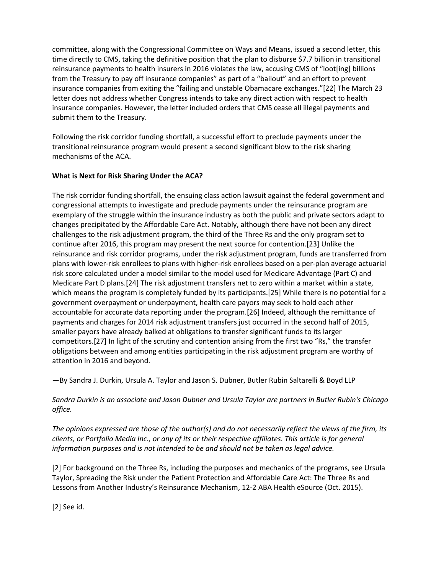committee, along with the Congressional Committee on Ways and Means, issued a second letter, this time directly to CMS, taking the definitive position that the plan to disburse \$7.7 billion in transitional reinsurance payments to health insurers in 2016 violates the law, accusing CMS of "loot[ing] billions from the Treasury to pay off insurance companies" as part of a "bailout" and an effort to prevent insurance companies from exiting the "failing and unstable Obamacare exchanges."[22] The March 23 letter does not address whether Congress intends to take any direct action with respect to health insurance companies. However, the letter included orders that CMS cease all illegal payments and submit them to the Treasury.

Following the risk corridor funding shortfall, a successful effort to preclude payments under the transitional reinsurance program would present a second significant blow to the risk sharing mechanisms of the ACA.

## **What is Next for Risk Sharing Under the ACA?**

The risk corridor funding shortfall, the ensuing class action lawsuit against the federal government and congressional attempts to investigate and preclude payments under the reinsurance program are exemplary of the struggle within the insurance industry as both the public and private sectors adapt to changes precipitated by the Affordable Care Act. Notably, although there have not been any direct challenges to the risk adjustment program, the third of the Three Rs and the only program set to continue after 2016, this program may present the next source for contention.[23] Unlike the reinsurance and risk corridor programs, under the risk adjustment program, funds are transferred from plans with lower-risk enrollees to plans with higher-risk enrollees based on a per-plan average actuarial risk score calculated under a model similar to the model used for Medicare Advantage (Part C) and Medicare Part D plans.[24] The risk adjustment transfers net to zero within a market within a state, which means the program is completely funded by its participants.[25] While there is no potential for a government overpayment or underpayment, health care payors may seek to hold each other accountable for accurate data reporting under the program.[26] Indeed, although the remittance of payments and charges for 2014 risk adjustment transfers just occurred in the second half of 2015, smaller payors have already balked at obligations to transfer significant funds to its larger competitors.[27] In light of the scrutiny and contention arising from the first two "Rs," the transfer obligations between and among entities participating in the risk adjustment program are worthy of attention in 2016 and beyond.

—By Sandra J. Durkin, Ursula A. Taylor and Jason S. Dubner, Butler Rubin Saltarelli & Boyd LLP

*Sandra Durkin is an associate and Jason Dubner and Ursula Taylor are partners in Butler Rubin's Chicago office.*

*The opinions expressed are those of the author(s) and do not necessarily reflect the views of the firm, its clients, or Portfolio Media Inc., or any of its or their respective affiliates. This article is for general information purposes and is not intended to be and should not be taken as legal advice.*

[2] For background on the Three Rs, including the purposes and mechanics of the programs, see Ursula Taylor, Spreading the Risk under the Patient Protection and Affordable Care Act: The Three Rs and Lessons from Another Industry's Reinsurance Mechanism, 12-2 ABA Health eSource (Oct. 2015).

[2] See id.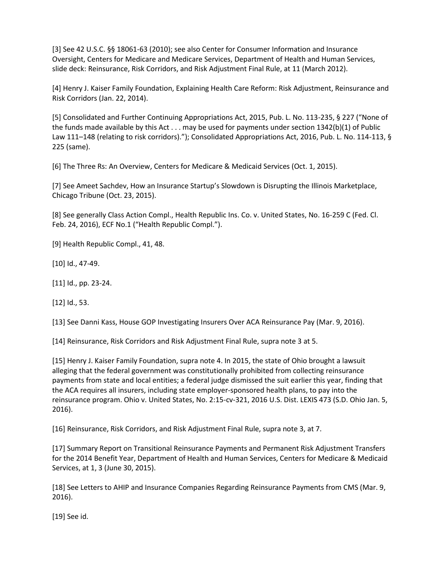[3] See 42 U.S.C. §§ 18061-63 (2010); see also Center for Consumer Information and Insurance Oversight, Centers for Medicare and Medicare Services, Department of Health and Human Services, slide deck: Reinsurance, Risk Corridors, and Risk Adjustment Final Rule, at 11 (March 2012).

[4] Henry J. Kaiser Family Foundation, Explaining Health Care Reform: Risk Adjustment, Reinsurance and Risk Corridors (Jan. 22, 2014).

[5] Consolidated and Further Continuing Appropriations Act, 2015, Pub. L. No. 113-235, § 227 ("None of the funds made available by this Act . . . may be used for payments under section 1342(b)(1) of Public Law 111–148 (relating to risk corridors)."); Consolidated Appropriations Act, 2016, Pub. L. No. 114-113, § 225 (same).

[6] The Three Rs: An Overview, Centers for Medicare & Medicaid Services (Oct. 1, 2015).

[7] See Ameet Sachdev, How an Insurance Startup's Slowdown is Disrupting the Illinois Marketplace, Chicago Tribune (Oct. 23, 2015).

[8] See generally Class Action Compl., Health Republic Ins. Co. v. United States, No. 16-259 C (Fed. Cl. Feb. 24, 2016), ECF No.1 ("Health Republic Compl.").

[9] Health Republic Compl., 41, 48.

[10] Id., 47-49.

[11] Id., pp. 23-24.

[12] Id., 53.

[13] See Danni Kass, House GOP Investigating Insurers Over ACA Reinsurance Pay (Mar. 9, 2016).

[14] Reinsurance, Risk Corridors and Risk Adjustment Final Rule, supra note 3 at 5.

[15] Henry J. Kaiser Family Foundation, supra note 4. In 2015, the state of Ohio brought a lawsuit alleging that the federal government was constitutionally prohibited from collecting reinsurance payments from state and local entities; a federal judge dismissed the suit earlier this year, finding that the ACA requires all insurers, including state employer-sponsored health plans, to pay into the reinsurance program. Ohio v. United States, No. 2:15-cv-321, 2016 U.S. Dist. LEXIS 473 (S.D. Ohio Jan. 5, 2016).

[16] Reinsurance, Risk Corridors, and Risk Adjustment Final Rule, supra note 3, at 7.

[17] Summary Report on Transitional Reinsurance Payments and Permanent Risk Adjustment Transfers for the 2014 Benefit Year, Department of Health and Human Services, Centers for Medicare & Medicaid Services, at 1, 3 (June 30, 2015).

[18] See Letters to AHIP and Insurance Companies Regarding Reinsurance Payments from CMS (Mar. 9, 2016).

[19] See id.